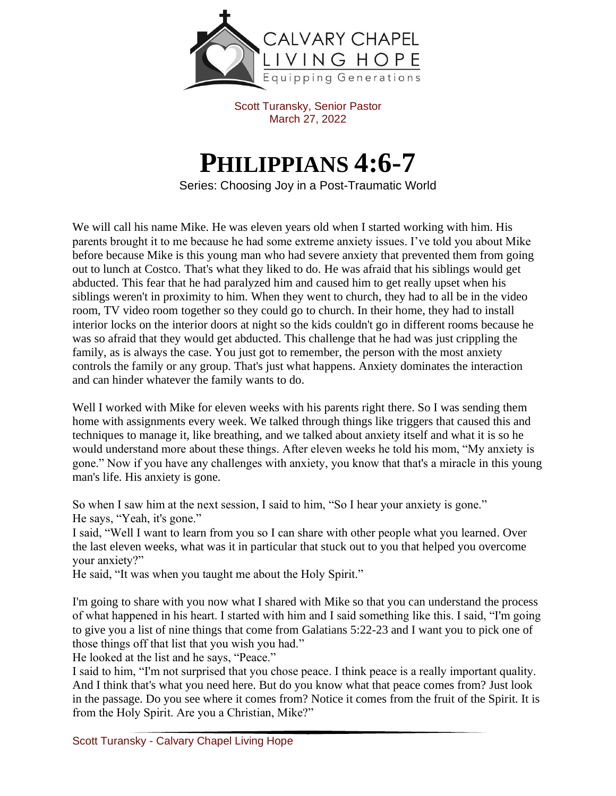

Scott Turansky, Senior Pastor March 27, 2022

## **PHILIPPIANS 4:6-7**

Series: Choosing Joy in a Post-Traumatic World

We will call his name Mike. He was eleven years old when I started working with him. His parents brought it to me because he had some extreme anxiety issues. I've told you about Mike before because Mike is this young man who had severe anxiety that prevented them from going out to lunch at Costco. That's what they liked to do. He was afraid that his siblings would get abducted. This fear that he had paralyzed him and caused him to get really upset when his siblings weren't in proximity to him. When they went to church, they had to all be in the video room, TV video room together so they could go to church. In their home, they had to install interior locks on the interior doors at night so the kids couldn't go in different rooms because he was so afraid that they would get abducted. This challenge that he had was just crippling the family, as is always the case. You just got to remember, the person with the most anxiety controls the family or any group. That's just what happens. Anxiety dominates the interaction and can hinder whatever the family wants to do.

Well I worked with Mike for eleven weeks with his parents right there. So I was sending them home with assignments every week. We talked through things like triggers that caused this and techniques to manage it, like breathing, and we talked about anxiety itself and what it is so he would understand more about these things. After eleven weeks he told his mom, "My anxiety is gone." Now if you have any challenges with anxiety, you know that that's a miracle in this young man's life. His anxiety is gone.

So when I saw him at the next session, I said to him, "So I hear your anxiety is gone." He says, "Yeah, it's gone."

I said, "Well I want to learn from you so I can share with other people what you learned. Over the last eleven weeks, what was it in particular that stuck out to you that helped you overcome your anxiety?"

He said, "It was when you taught me about the Holy Spirit."

I'm going to share with you now what I shared with Mike so that you can understand the process of what happened in his heart. I started with him and I said something like this. I said, "I'm going to give you a list of nine things that come from Galatians 5:22-23 and I want you to pick one of those things off that list that you wish you had."

He looked at the list and he says, "Peace."

I said to him, "I'm not surprised that you chose peace. I think peace is a really important quality. And I think that's what you need here. But do you know what that peace comes from? Just look in the passage. Do you see where it comes from? Notice it comes from the fruit of the Spirit. It is from the Holy Spirit. Are you a Christian, Mike?"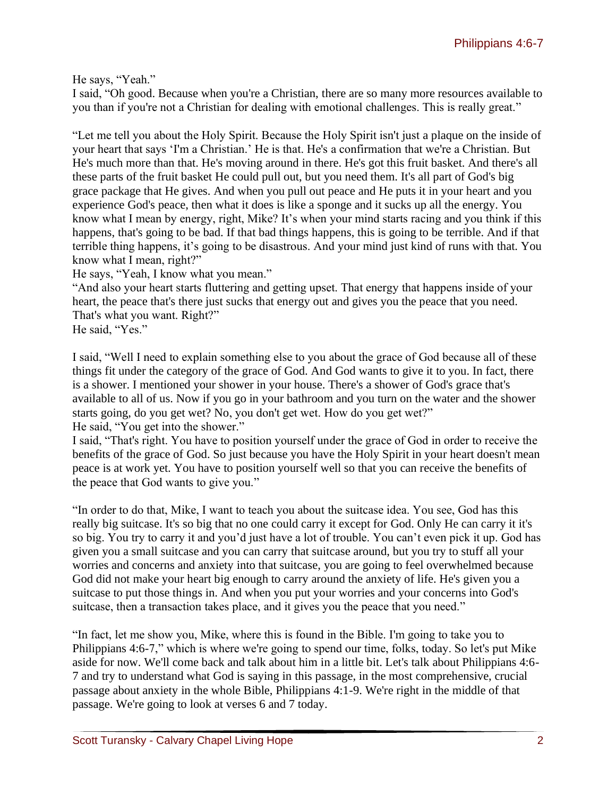He says, "Yeah."

I said, "Oh good. Because when you're a Christian, there are so many more resources available to you than if you're not a Christian for dealing with emotional challenges. This is really great."

"Let me tell you about the Holy Spirit. Because the Holy Spirit isn't just a plaque on the inside of your heart that says 'I'm a Christian.' He is that. He's a confirmation that we're a Christian. But He's much more than that. He's moving around in there. He's got this fruit basket. And there's all these parts of the fruit basket He could pull out, but you need them. It's all part of God's big grace package that He gives. And when you pull out peace and He puts it in your heart and you experience God's peace, then what it does is like a sponge and it sucks up all the energy. You know what I mean by energy, right, Mike? It's when your mind starts racing and you think if this happens, that's going to be bad. If that bad things happens, this is going to be terrible. And if that terrible thing happens, it's going to be disastrous. And your mind just kind of runs with that. You know what I mean, right?"

He says, "Yeah, I know what you mean."

"And also your heart starts fluttering and getting upset. That energy that happens inside of your heart, the peace that's there just sucks that energy out and gives you the peace that you need. That's what you want. Right?"

He said, "Yes."

I said, "Well I need to explain something else to you about the grace of God because all of these things fit under the category of the grace of God. And God wants to give it to you. In fact, there is a shower. I mentioned your shower in your house. There's a shower of God's grace that's available to all of us. Now if you go in your bathroom and you turn on the water and the shower starts going, do you get wet? No, you don't get wet. How do you get wet?" He said, "You get into the shower."

I said, "That's right. You have to position yourself under the grace of God in order to receive the benefits of the grace of God. So just because you have the Holy Spirit in your heart doesn't mean peace is at work yet. You have to position yourself well so that you can receive the benefits of the peace that God wants to give you."

"In order to do that, Mike, I want to teach you about the suitcase idea. You see, God has this really big suitcase. It's so big that no one could carry it except for God. Only He can carry it it's so big. You try to carry it and you'd just have a lot of trouble. You can't even pick it up. God has given you a small suitcase and you can carry that suitcase around, but you try to stuff all your worries and concerns and anxiety into that suitcase, you are going to feel overwhelmed because God did not make your heart big enough to carry around the anxiety of life. He's given you a suitcase to put those things in. And when you put your worries and your concerns into God's suitcase, then a transaction takes place, and it gives you the peace that you need."

"In fact, let me show you, Mike, where this is found in the Bible. I'm going to take you to Philippians 4:6-7," which is where we're going to spend our time, folks, today. So let's put Mike aside for now. We'll come back and talk about him in a little bit. Let's talk about Philippians 4:6- 7 and try to understand what God is saying in this passage, in the most comprehensive, crucial passage about anxiety in the whole Bible, Philippians 4:1-9. We're right in the middle of that passage. We're going to look at verses 6 and 7 today.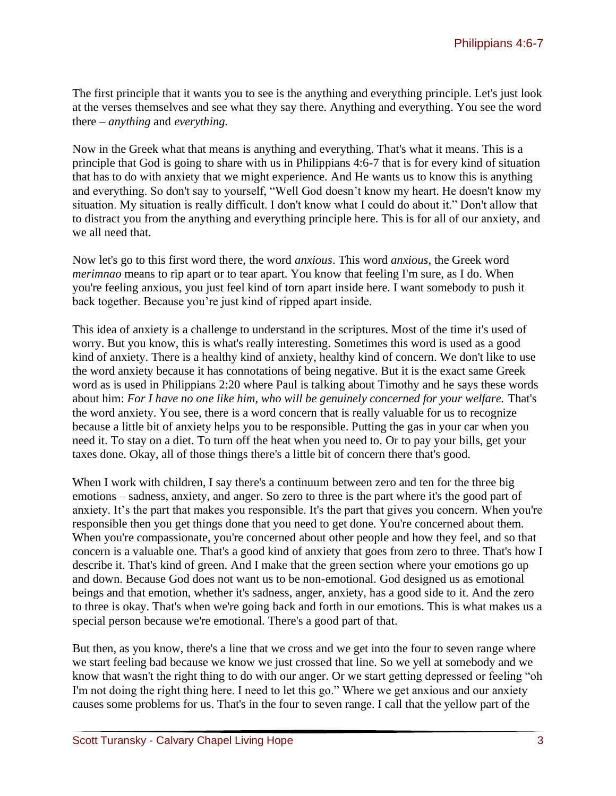The first principle that it wants you to see is the anything and everything principle. Let's just look at the verses themselves and see what they say there. Anything and everything. You see the word there – *anything* and *everything.*

Now in the Greek what that means is anything and everything. That's what it means. This is a principle that God is going to share with us in Philippians 4:6-7 that is for every kind of situation that has to do with anxiety that we might experience. And He wants us to know this is anything and everything. So don't say to yourself, "Well God doesn't know my heart. He doesn't know my situation. My situation is really difficult. I don't know what I could do about it." Don't allow that to distract you from the anything and everything principle here. This is for all of our anxiety, and we all need that.

Now let's go to this first word there, the word *anxious*. This word *anxious*, the Greek word *merimnao* means to rip apart or to tear apart. You know that feeling I'm sure, as I do. When you're feeling anxious, you just feel kind of torn apart inside here. I want somebody to push it back together. Because you're just kind of ripped apart inside.

This idea of anxiety is a challenge to understand in the scriptures. Most of the time it's used of worry. But you know, this is what's really interesting. Sometimes this word is used as a good kind of anxiety. There is a healthy kind of anxiety, healthy kind of concern. We don't like to use the word anxiety because it has connotations of being negative. But it is the exact same Greek word as is used in Philippians 2:20 where Paul is talking about Timothy and he says these words about him: *For I have no one like him, who will be genuinely concerned for your welfare.* That's the word anxiety. You see, there is a word concern that is really valuable for us to recognize because a little bit of anxiety helps you to be responsible. Putting the gas in your car when you need it. To stay on a diet. To turn off the heat when you need to. Or to pay your bills, get your taxes done. Okay, all of those things there's a little bit of concern there that's good.

When I work with children, I say there's a continuum between zero and ten for the three big emotions – sadness, anxiety, and anger. So zero to three is the part where it's the good part of anxiety. It's the part that makes you responsible. It's the part that gives you concern. When you're responsible then you get things done that you need to get done. You're concerned about them. When you're compassionate, you're concerned about other people and how they feel, and so that concern is a valuable one. That's a good kind of anxiety that goes from zero to three. That's how I describe it. That's kind of green. And I make that the green section where your emotions go up and down. Because God does not want us to be non-emotional. God designed us as emotional beings and that emotion, whether it's sadness, anger, anxiety, has a good side to it. And the zero to three is okay. That's when we're going back and forth in our emotions. This is what makes us a special person because we're emotional. There's a good part of that.

But then, as you know, there's a line that we cross and we get into the four to seven range where we start feeling bad because we know we just crossed that line. So we yell at somebody and we know that wasn't the right thing to do with our anger. Or we start getting depressed or feeling "oh I'm not doing the right thing here. I need to let this go." Where we get anxious and our anxiety causes some problems for us. That's in the four to seven range. I call that the yellow part of the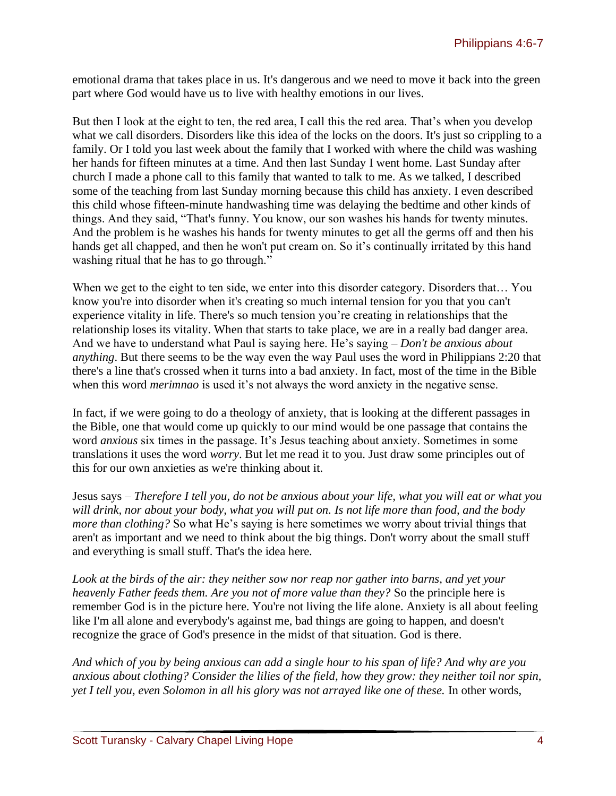emotional drama that takes place in us. It's dangerous and we need to move it back into the green part where God would have us to live with healthy emotions in our lives.

But then I look at the eight to ten, the red area, I call this the red area. That's when you develop what we call disorders. Disorders like this idea of the locks on the doors. It's just so crippling to a family. Or I told you last week about the family that I worked with where the child was washing her hands for fifteen minutes at a time. And then last Sunday I went home. Last Sunday after church I made a phone call to this family that wanted to talk to me. As we talked, I described some of the teaching from last Sunday morning because this child has anxiety. I even described this child whose fifteen-minute handwashing time was delaying the bedtime and other kinds of things. And they said, "That's funny. You know, our son washes his hands for twenty minutes. And the problem is he washes his hands for twenty minutes to get all the germs off and then his hands get all chapped, and then he won't put cream on. So it's continually irritated by this hand washing ritual that he has to go through."

When we get to the eight to ten side, we enter into this disorder category. Disorders that... You know you're into disorder when it's creating so much internal tension for you that you can't experience vitality in life. There's so much tension you're creating in relationships that the relationship loses its vitality. When that starts to take place, we are in a really bad danger area. And we have to understand what Paul is saying here. He's saying – *Don't be anxious about anything*. But there seems to be the way even the way Paul uses the word in Philippians 2:20 that there's a line that's crossed when it turns into a bad anxiety. In fact, most of the time in the Bible when this word *merimnao* is used it's not always the word anxiety in the negative sense.

In fact, if we were going to do a theology of anxiety, that is looking at the different passages in the Bible, one that would come up quickly to our mind would be one passage that contains the word *anxious* six times in the passage. It's Jesus teaching about anxiety. Sometimes in some translations it uses the word *worry*. But let me read it to you. Just draw some principles out of this for our own anxieties as we're thinking about it.

Jesus says – *Therefore I tell you, do not be anxious about your life, what you will eat or what you will drink, nor about your body, what you will put on. Is not life more than food, and the body more than clothing?* So what He's saying is here sometimes we worry about trivial things that aren't as important and we need to think about the big things. Don't worry about the small stuff and everything is small stuff. That's the idea here.

*Look at the birds of the air: they neither sow nor reap nor gather into barns, and yet your heavenly Father feeds them. Are you not of more value than they?* So the principle here is remember God is in the picture here. You're not living the life alone. Anxiety is all about feeling like I'm all alone and everybody's against me, bad things are going to happen, and doesn't recognize the grace of God's presence in the midst of that situation. God is there.

*And which of you by being anxious can add a single hour to his span of life? And why are you anxious about clothing? Consider the lilies of the field, how they grow: they neither toil nor spin, yet I tell you, even Solomon in all his glory was not arrayed like one of these.* In other words,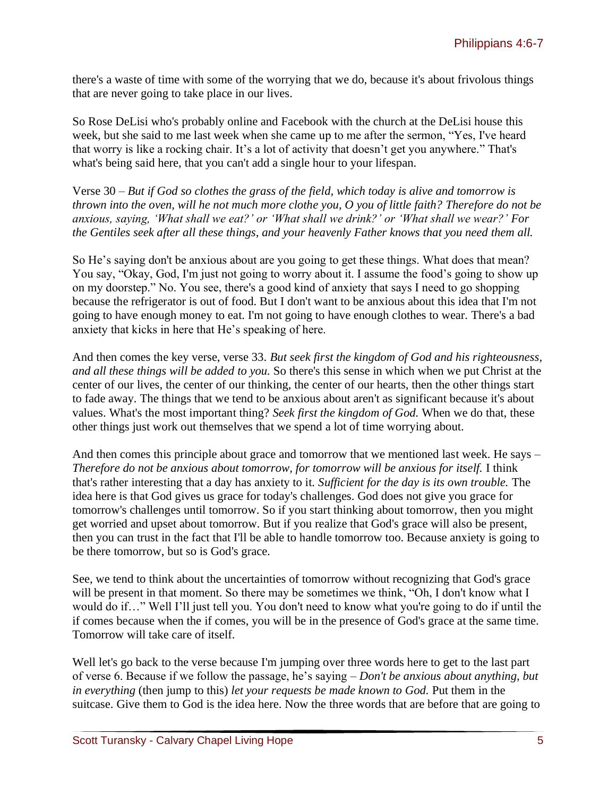there's a waste of time with some of the worrying that we do, because it's about frivolous things that are never going to take place in our lives.

So Rose DeLisi who's probably online and Facebook with the church at the DeLisi house this week, but she said to me last week when she came up to me after the sermon, "Yes, I've heard that worry is like a rocking chair. It's a lot of activity that doesn't get you anywhere." That's what's being said here, that you can't add a single hour to your lifespan.

Verse 30 – *But if God so clothes the grass of the field, which today is alive and tomorrow is thrown into the oven, will he not much more clothe you, O you of little faith? Therefore do not be anxious, saying, 'What shall we eat?' or 'What shall we drink?' or 'What shall we wear?' For the Gentiles seek after all these things, and your heavenly Father knows that you need them all.*

So He's saying don't be anxious about are you going to get these things. What does that mean? You say, "Okay, God, I'm just not going to worry about it. I assume the food's going to show up on my doorstep." No. You see, there's a good kind of anxiety that says I need to go shopping because the refrigerator is out of food. But I don't want to be anxious about this idea that I'm not going to have enough money to eat. I'm not going to have enough clothes to wear. There's a bad anxiety that kicks in here that He's speaking of here.

And then comes the key verse, verse 33. *But seek first the kingdom of God and his righteousness, and all these things will be added to you.* So there's this sense in which when we put Christ at the center of our lives, the center of our thinking, the center of our hearts, then the other things start to fade away. The things that we tend to be anxious about aren't as significant because it's about values. What's the most important thing? *Seek first the kingdom of God.* When we do that, these other things just work out themselves that we spend a lot of time worrying about.

And then comes this principle about grace and tomorrow that we mentioned last week. He says – *Therefore do not be anxious about tomorrow, for tomorrow will be anxious for itself.* I think that's rather interesting that a day has anxiety to it. *Sufficient for the day is its own trouble.* The idea here is that God gives us grace for today's challenges. God does not give you grace for tomorrow's challenges until tomorrow. So if you start thinking about tomorrow, then you might get worried and upset about tomorrow. But if you realize that God's grace will also be present, then you can trust in the fact that I'll be able to handle tomorrow too. Because anxiety is going to be there tomorrow, but so is God's grace.

See, we tend to think about the uncertainties of tomorrow without recognizing that God's grace will be present in that moment. So there may be sometimes we think, "Oh, I don't know what I would do if…" Well I'll just tell you. You don't need to know what you're going to do if until the if comes because when the if comes, you will be in the presence of God's grace at the same time. Tomorrow will take care of itself.

Well let's go back to the verse because I'm jumping over three words here to get to the last part of verse 6. Because if we follow the passage, he's saying – *Don't be anxious about anything, but in everything* (then jump to this) *let your requests be made known to God.* Put them in the suitcase. Give them to God is the idea here. Now the three words that are before that are going to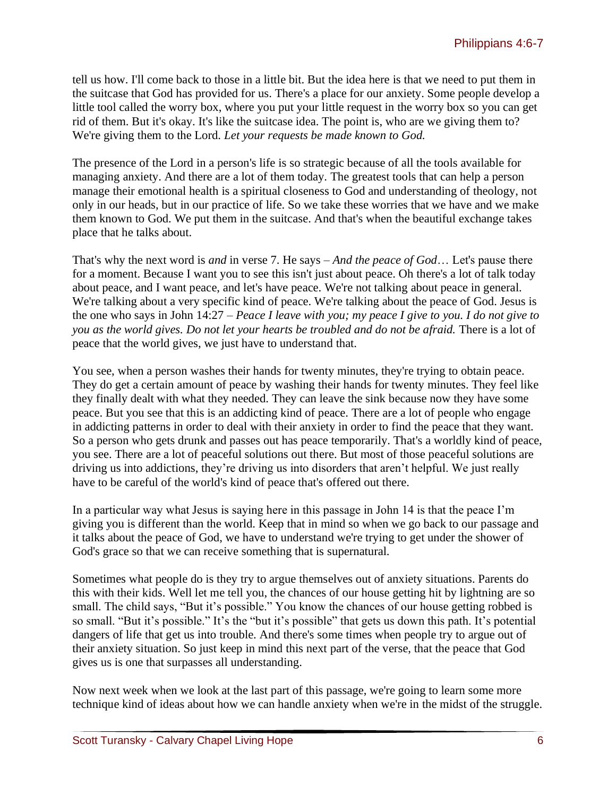tell us how. I'll come back to those in a little bit. But the idea here is that we need to put them in the suitcase that God has provided for us. There's a place for our anxiety. Some people develop a little tool called the worry box, where you put your little request in the worry box so you can get rid of them. But it's okay. It's like the suitcase idea. The point is, who are we giving them to? We're giving them to the Lord. *Let your requests be made known to God.*

The presence of the Lord in a person's life is so strategic because of all the tools available for managing anxiety. And there are a lot of them today. The greatest tools that can help a person manage their emotional health is a spiritual closeness to God and understanding of theology, not only in our heads, but in our practice of life. So we take these worries that we have and we make them known to God. We put them in the suitcase. And that's when the beautiful exchange takes place that he talks about.

That's why the next word is *and* in verse 7. He says – *And the peace of God*… Let's pause there for a moment. Because I want you to see this isn't just about peace. Oh there's a lot of talk today about peace, and I want peace, and let's have peace. We're not talking about peace in general. We're talking about a very specific kind of peace. We're talking about the peace of God. Jesus is the one who says in John 14:27 – *Peace I leave with you; my peace I give to you. I do not give to you as the world gives. Do not let your hearts be troubled and do not be afraid.* There is a lot of peace that the world gives, we just have to understand that.

You see, when a person washes their hands for twenty minutes, they're trying to obtain peace. They do get a certain amount of peace by washing their hands for twenty minutes. They feel like they finally dealt with what they needed. They can leave the sink because now they have some peace. But you see that this is an addicting kind of peace. There are a lot of people who engage in addicting patterns in order to deal with their anxiety in order to find the peace that they want. So a person who gets drunk and passes out has peace temporarily. That's a worldly kind of peace, you see. There are a lot of peaceful solutions out there. But most of those peaceful solutions are driving us into addictions, they're driving us into disorders that aren't helpful. We just really have to be careful of the world's kind of peace that's offered out there.

In a particular way what Jesus is saying here in this passage in John 14 is that the peace I'm giving you is different than the world. Keep that in mind so when we go back to our passage and it talks about the peace of God, we have to understand we're trying to get under the shower of God's grace so that we can receive something that is supernatural.

Sometimes what people do is they try to argue themselves out of anxiety situations. Parents do this with their kids. Well let me tell you, the chances of our house getting hit by lightning are so small. The child says, "But it's possible." You know the chances of our house getting robbed is so small. "But it's possible." It's the "but it's possible" that gets us down this path. It's potential dangers of life that get us into trouble. And there's some times when people try to argue out of their anxiety situation. So just keep in mind this next part of the verse, that the peace that God gives us is one that surpasses all understanding.

Now next week when we look at the last part of this passage, we're going to learn some more technique kind of ideas about how we can handle anxiety when we're in the midst of the struggle.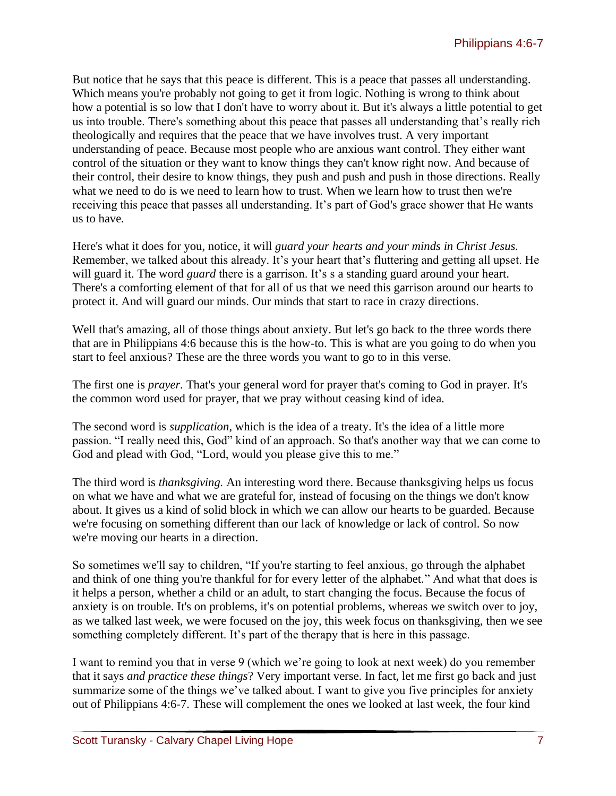But notice that he says that this peace is different. This is a peace that passes all understanding. Which means you're probably not going to get it from logic. Nothing is wrong to think about how a potential is so low that I don't have to worry about it. But it's always a little potential to get us into trouble. There's something about this peace that passes all understanding that's really rich theologically and requires that the peace that we have involves trust. A very important understanding of peace. Because most people who are anxious want control. They either want control of the situation or they want to know things they can't know right now. And because of their control, their desire to know things, they push and push and push in those directions. Really what we need to do is we need to learn how to trust. When we learn how to trust then we're receiving this peace that passes all understanding. It's part of God's grace shower that He wants us to have.

Here's what it does for you, notice, it will *guard your hearts and your minds in Christ Jesus.* Remember, we talked about this already. It's your heart that's fluttering and getting all upset. He will guard it. The word *guard* there is a garrison. It's s a standing guard around your heart. There's a comforting element of that for all of us that we need this garrison around our hearts to protect it. And will guard our minds. Our minds that start to race in crazy directions.

Well that's amazing, all of those things about anxiety. But let's go back to the three words there that are in Philippians 4:6 because this is the how-to. This is what are you going to do when you start to feel anxious? These are the three words you want to go to in this verse.

The first one is *prayer.* That's your general word for prayer that's coming to God in prayer. It's the common word used for prayer, that we pray without ceasing kind of idea.

The second word is *supplication*, which is the idea of a treaty. It's the idea of a little more passion. "I really need this, God" kind of an approach. So that's another way that we can come to God and plead with God, "Lord, would you please give this to me."

The third word is *thanksgiving.* An interesting word there. Because thanksgiving helps us focus on what we have and what we are grateful for, instead of focusing on the things we don't know about. It gives us a kind of solid block in which we can allow our hearts to be guarded. Because we're focusing on something different than our lack of knowledge or lack of control. So now we're moving our hearts in a direction.

So sometimes we'll say to children, "If you're starting to feel anxious, go through the alphabet and think of one thing you're thankful for for every letter of the alphabet." And what that does is it helps a person, whether a child or an adult, to start changing the focus. Because the focus of anxiety is on trouble. It's on problems, it's on potential problems, whereas we switch over to joy, as we talked last week, we were focused on the joy, this week focus on thanksgiving, then we see something completely different. It's part of the therapy that is here in this passage.

I want to remind you that in verse 9 (which we're going to look at next week) do you remember that it says *and practice these things*? Very important verse. In fact, let me first go back and just summarize some of the things we've talked about. I want to give you five principles for anxiety out of Philippians 4:6-7. These will complement the ones we looked at last week, the four kind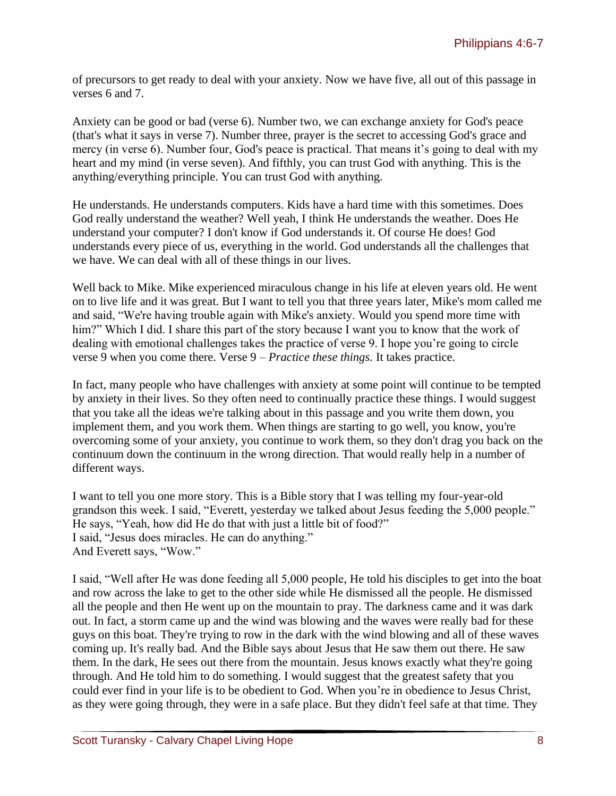of precursors to get ready to deal with your anxiety. Now we have five, all out of this passage in verses 6 and 7.

Anxiety can be good or bad (verse 6). Number two, we can exchange anxiety for God's peace (that's what it says in verse 7). Number three, prayer is the secret to accessing God's grace and mercy (in verse 6). Number four, God's peace is practical. That means it's going to deal with my heart and my mind (in verse seven). And fifthly, you can trust God with anything. This is the anything/everything principle. You can trust God with anything.

He understands. He understands computers. Kids have a hard time with this sometimes. Does God really understand the weather? Well yeah, I think He understands the weather. Does He understand your computer? I don't know if God understands it. Of course He does! God understands every piece of us, everything in the world. God understands all the challenges that we have. We can deal with all of these things in our lives.

Well back to Mike. Mike experienced miraculous change in his life at eleven years old. He went on to live life and it was great. But I want to tell you that three years later, Mike's mom called me and said, "We're having trouble again with Mike's anxiety. Would you spend more time with him?" Which I did. I share this part of the story because I want you to know that the work of dealing with emotional challenges takes the practice of verse 9. I hope you're going to circle verse 9 when you come there. Verse 9 – *Practice these things.* It takes practice.

In fact, many people who have challenges with anxiety at some point will continue to be tempted by anxiety in their lives. So they often need to continually practice these things. I would suggest that you take all the ideas we're talking about in this passage and you write them down, you implement them, and you work them. When things are starting to go well, you know, you're overcoming some of your anxiety, you continue to work them, so they don't drag you back on the continuum down the continuum in the wrong direction. That would really help in a number of different ways.

I want to tell you one more story. This is a Bible story that I was telling my four-year-old grandson this week. I said, "Everett, yesterday we talked about Jesus feeding the 5,000 people." He says, "Yeah, how did He do that with just a little bit of food?" I said, "Jesus does miracles. He can do anything." And Everett says, "Wow."

I said, "Well after He was done feeding all 5,000 people, He told his disciples to get into the boat and row across the lake to get to the other side while He dismissed all the people. He dismissed all the people and then He went up on the mountain to pray. The darkness came and it was dark out. In fact, a storm came up and the wind was blowing and the waves were really bad for these guys on this boat. They're trying to row in the dark with the wind blowing and all of these waves coming up. It's really bad. And the Bible says about Jesus that He saw them out there. He saw them. In the dark, He sees out there from the mountain. Jesus knows exactly what they're going through. And He told him to do something. I would suggest that the greatest safety that you could ever find in your life is to be obedient to God. When you're in obedience to Jesus Christ, as they were going through, they were in a safe place. But they didn't feel safe at that time. They